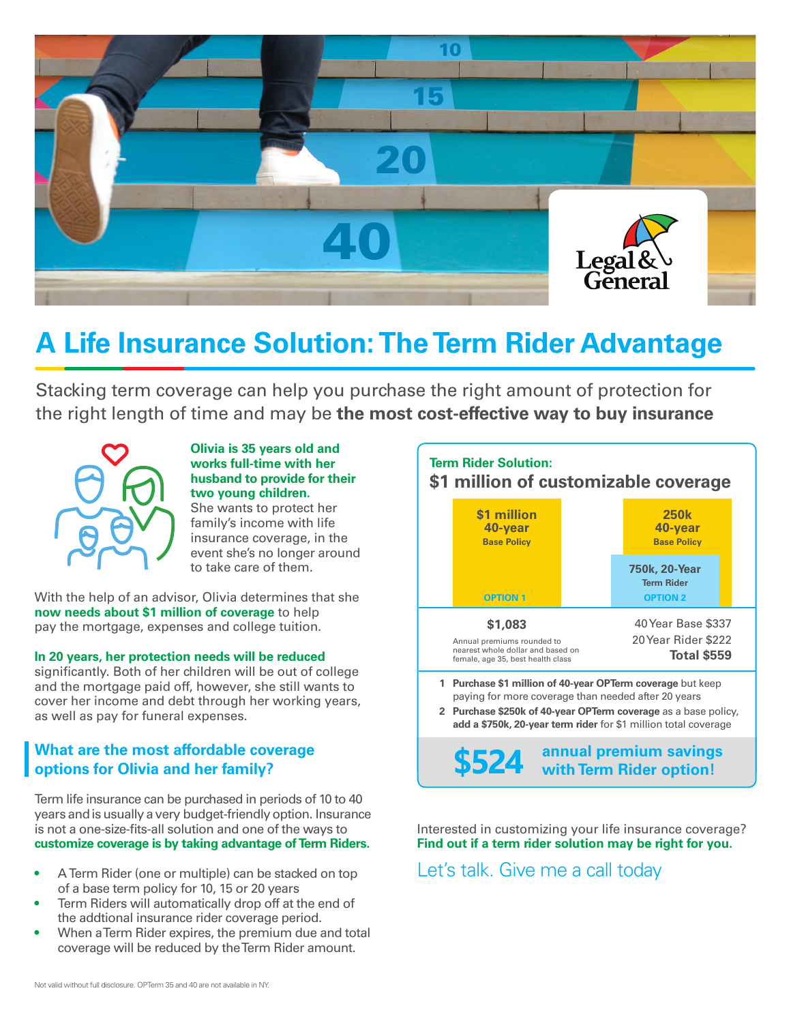

## **A Life Insurance Solution: The Term Rider Advantage**

Stacking term coverage can help you purchase the right amount of protection for the right length of time and may be **the most cost-effective way to buy insurance**



## **Olivia is 35 years old and works full-time with her husband to provide for their two young children.**

She wants to protect her family's income with life insurance coverage, in the event she's no longer around to take care of them.

With the help of an advisor, Olivia determines that she **now needs about \$1 million of coverage** to help pay the mortgage, expenses and college tuition.

## **In 20 years, her protection needs will be reduced**

significantly. Both of her children will be out of college and the mortgage paid off, however, she still wants to cover her income and debt through her working years, as well as pay for funeral expenses.

## **What are the most affordable coverage options for Olivia and her family?**

Term life insurance can be purchased in periods of 10 to 40 years and is usually a very budget-friendly option. Insurance is not a one-size-fits-all solution and one of the ways to **customize coverage is by taking advantage of Term Riders.**

- A Term Rider (one or multiple) can be stacked on top of a base term policy for 10, 15 or 20 years
- Term Riders will automatically drop off at the end of the addtional insurance rider coverage period.
- When a Term Rider expires, the premium due and total coverage will be reduced by the Term Rider amount.



**annual premium savings \$524 with Term Rider option!**

Interested in customizing your life insurance coverage? **Find out if a term rider solution may be right for you.** Let's talk. Give me a call today